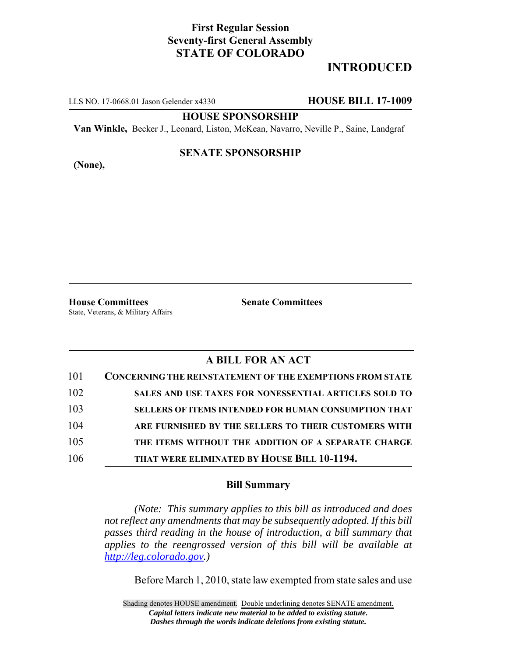# **First Regular Session Seventy-first General Assembly STATE OF COLORADO**

# **INTRODUCED**

LLS NO. 17-0668.01 Jason Gelender x4330 **HOUSE BILL 17-1009**

### **HOUSE SPONSORSHIP**

**Van Winkle,** Becker J., Leonard, Liston, McKean, Navarro, Neville P., Saine, Landgraf

**(None),**

# **SENATE SPONSORSHIP**

**House Committees Senate Committees** State, Veterans, & Military Affairs

# **A BILL FOR AN ACT**

| 101 | <b>CONCERNING THE REINSTATEMENT OF THE EXEMPTIONS FROM STATE</b> |
|-----|------------------------------------------------------------------|
| 102 | <b>SALES AND USE TAXES FOR NONESSENTIAL ARTICLES SOLD TO</b>     |
| 103 | <b>SELLERS OF ITEMS INTENDED FOR HUMAN CONSUMPTION THAT</b>      |
| 104 | ARE FURNISHED BY THE SELLERS TO THEIR CUSTOMERS WITH             |
| 105 | THE ITEMS WITHOUT THE ADDITION OF A SEPARATE CHARGE              |
| 106 | THAT WERE ELIMINATED BY HOUSE BILL 10-1194.                      |

## **Bill Summary**

*(Note: This summary applies to this bill as introduced and does not reflect any amendments that may be subsequently adopted. If this bill passes third reading in the house of introduction, a bill summary that applies to the reengrossed version of this bill will be available at http://leg.colorado.gov.)*

Before March 1, 2010, state law exempted from state sales and use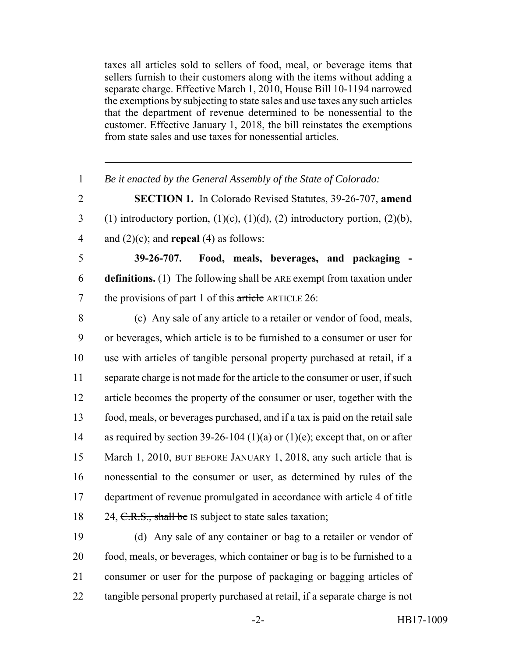taxes all articles sold to sellers of food, meal, or beverage items that sellers furnish to their customers along with the items without adding a separate charge. Effective March 1, 2010, House Bill 10-1194 narrowed the exemptions by subjecting to state sales and use taxes any such articles that the department of revenue determined to be nonessential to the customer. Effective January 1, 2018, the bill reinstates the exemptions from state sales and use taxes for nonessential articles.

 *Be it enacted by the General Assembly of the State of Colorado:* **SECTION 1.** In Colorado Revised Statutes, 39-26-707, **amend** 3 (1) introductory portion,  $(1)(c)$ ,  $(1)(d)$ ,  $(2)$  introductory portion,  $(2)(b)$ , and (2)(c); and **repeal** (4) as follows: **39-26-707. Food, meals, beverages, and packaging - definitions.** (1) The following shall be ARE exempt from taxation under 7 the provisions of part 1 of this article ARTICLE 26: (c) Any sale of any article to a retailer or vendor of food, meals, or beverages, which article is to be furnished to a consumer or user for use with articles of tangible personal property purchased at retail, if a 11 separate charge is not made for the article to the consumer or user, if such article becomes the property of the consumer or user, together with the food, meals, or beverages purchased, and if a tax is paid on the retail sale as required by section 39-26-104 (1)(a) or (1)(e); except that, on or after 15 March 1, 2010, BUT BEFORE JANUARY 1, 2018, any such article that is nonessential to the consumer or user, as determined by rules of the department of revenue promulgated in accordance with article 4 of title 18 24, C.R.S., shall be IS subject to state sales taxation;

 (d) Any sale of any container or bag to a retailer or vendor of food, meals, or beverages, which container or bag is to be furnished to a consumer or user for the purpose of packaging or bagging articles of tangible personal property purchased at retail, if a separate charge is not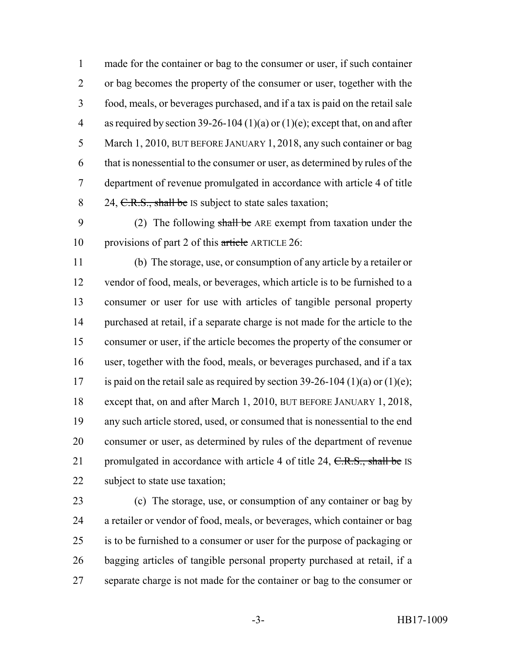made for the container or bag to the consumer or user, if such container or bag becomes the property of the consumer or user, together with the food, meals, or beverages purchased, and if a tax is paid on the retail sale 4 as required by section 39-26-104 (1)(a) or (1)(e); except that, on and after March 1, 2010, BUT BEFORE JANUARY 1, 2018, any such container or bag that is nonessential to the consumer or user, as determined by rules of the department of revenue promulgated in accordance with article 4 of title 8 24, C.R.S., shall be IS subject to state sales taxation;

9 (2) The following shall be ARE exempt from taxation under the provisions of part 2 of this article ARTICLE 26:

 (b) The storage, use, or consumption of any article by a retailer or vendor of food, meals, or beverages, which article is to be furnished to a consumer or user for use with articles of tangible personal property purchased at retail, if a separate charge is not made for the article to the consumer or user, if the article becomes the property of the consumer or user, together with the food, meals, or beverages purchased, and if a tax 17 is paid on the retail sale as required by section  $39-26-104 (1)(a)$  or  $(1)(e)$ ; except that, on and after March 1, 2010, BUT BEFORE JANUARY 1, 2018, any such article stored, used, or consumed that is nonessential to the end consumer or user, as determined by rules of the department of revenue 21 promulgated in accordance with article 4 of title 24,  $C.R.S.,$  shall be IS 22 subject to state use taxation;

 (c) The storage, use, or consumption of any container or bag by a retailer or vendor of food, meals, or beverages, which container or bag is to be furnished to a consumer or user for the purpose of packaging or bagging articles of tangible personal property purchased at retail, if a separate charge is not made for the container or bag to the consumer or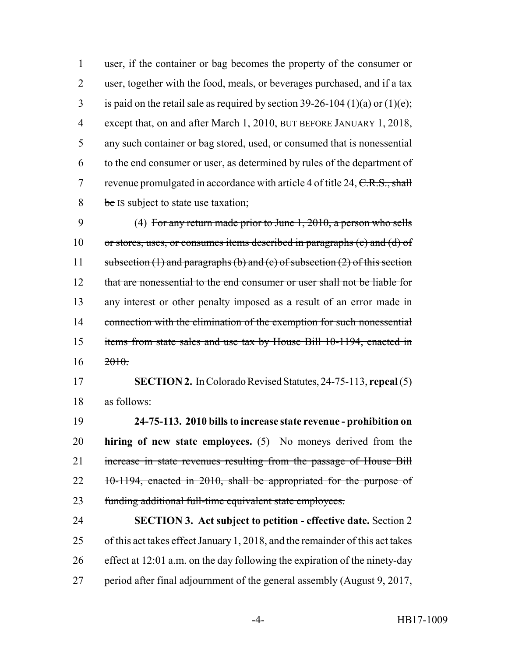user, if the container or bag becomes the property of the consumer or user, together with the food, meals, or beverages purchased, and if a tax 3 is paid on the retail sale as required by section  $39-26-104 (1)(a)$  or  $(1)(e)$ ; except that, on and after March 1, 2010, BUT BEFORE JANUARY 1, 2018, any such container or bag stored, used, or consumed that is nonessential to the end consumer or user, as determined by rules of the department of 7 revenue promulgated in accordance with article 4 of title  $24, \text{C.R.S., shall}$ 8 be IS subject to state use taxation;

 (4) For any return made prior to June 1, 2010, a person who sells or stores, uses, or consumes items described in paragraphs (c) and (d) of 11 subsection (1) and paragraphs (b) and (c) of subsection (2) of this section 12 that are nonessential to the end consumer or user shall not be liable for 13 any interest or other penalty imposed as a result of an error made in 14 connection with the elimination of the exemption for such nonessential items from state sales and use tax by House Bill 10-1194, enacted in  $16 \frac{2010}{2010}$ 

 **SECTION 2.** In Colorado Revised Statutes, 24-75-113, **repeal** (5) as follows:

 **24-75-113. 2010 bills to increase state revenue - prohibition on hiring of new state employees.** (5) No moneys derived from the increase in state revenues resulting from the passage of House Bill 22 10-1194, enacted in 2010, shall be appropriated for the purpose of funding additional full-time equivalent state employees.

 **SECTION 3. Act subject to petition - effective date.** Section 2 of this act takes effect January 1, 2018, and the remainder of this act takes effect at 12:01 a.m. on the day following the expiration of the ninety-day period after final adjournment of the general assembly (August 9, 2017,